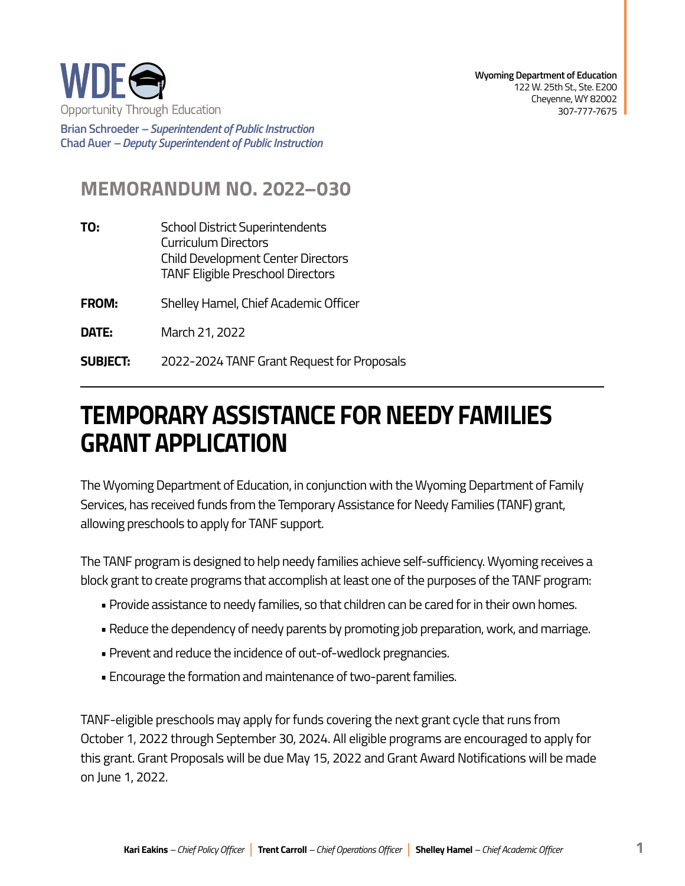

**Brian Schroeder –***Superintendent of Public Instruction*  **Chad Auer** *– Deputy Superintendent of Public Instruction* 

## **MEMORANDUM NO. 2022–030**

- **TO:** School District Superintendents Curriculum Directors Child Development Center Directors TANF Eligible Preschool Directors
- **FROM:** Shelley Hamel, Chief Academic Officer
- **DATE:** March 21, 2022
- **SUBJECT: SUBJECT:** 2022-2024 TANF Grant Request for Proposals

## **TEMPORARY ASSISTANCE FOR NEEDY FAMILIES GRANT APPLICATION**

The Wyoming Department of Education, in conjunction with the Wyoming Department of Family Services, has received funds from the Temporary Assistance for Needy Families (TANF) grant, allowing preschools to apply for TANF support.

The TANF program is designed to help needy families achieve self-sufficiency. Wyoming receives a block grant to create programs that accomplish at least one of the purposes of the TANF program:

- Provide assistance to needy families, so that children can be cared for in their own homes.
- Reduce the dependency of needy parents by promoting job preparation, work, and marriage.
- Prevent and reduce the incidence of out-of-wedlock pregnancies.
- Encourage the formation and maintenance of two-parent families.

TANF-eligible preschools may apply for funds covering the next grant cycle that runs from October 1, 2022 through September 30, 2024. All eligible programs are encouraged to apply for this grant. Grant Proposals will be due May 15, 2022 and Grant Award Notifications will be made on June 1, 2022.